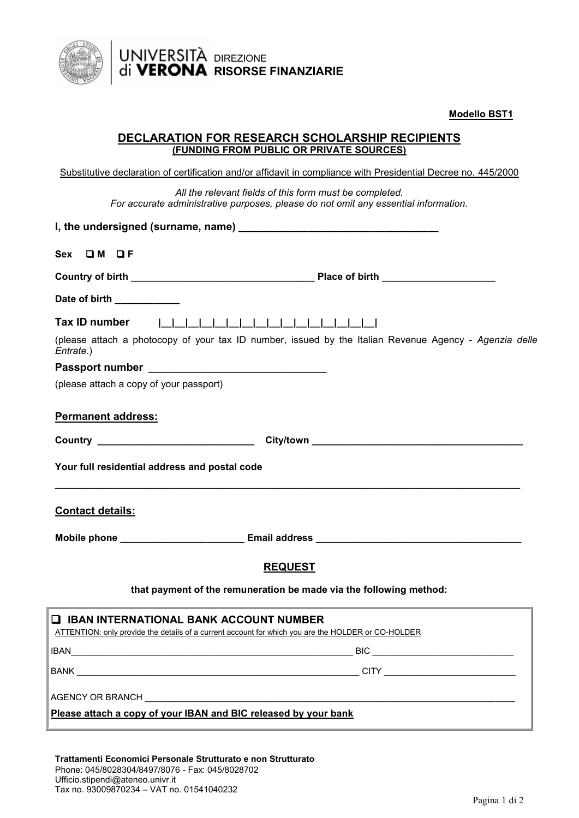

**Modello BST1**

## **DECLARATION FOR RESEARCH SCHOLARSHIP RECIPIENTS (FUNDING FROM PUBLIC OR PRIVATE SOURCES)**

**RISORSE FINANZIARIE**

DIREZIONE

Substitutive declaration of certification and/or affidavit in compliance with Presidential Decree no. 445/2000

*All the relevant fields of this form must be completed. For accurate administrative purposes, please do not omit any essential information.*

| Sex OM OF                                                                                                                                                                                                                            |
|--------------------------------------------------------------------------------------------------------------------------------------------------------------------------------------------------------------------------------------|
|                                                                                                                                                                                                                                      |
| Date of birth ___________                                                                                                                                                                                                            |
| Tax ID number<br>(please attach a photocopy of your tax ID number, issued by the Italian Revenue Agency - Agenzia delle<br>Entrate.)<br>(please attach a copy of your passport)                                                      |
| <b>Permanent address:</b>                                                                                                                                                                                                            |
| Country <u>and the country of the country of the country of the country of the country of the country of the country of the country of the country of the country of the country of the country of the country of the country of</u> |
| Your full residential address and postal code                                                                                                                                                                                        |
| <b>Contact details:</b>                                                                                                                                                                                                              |
| Mobile phone _______________________________ Email address _____________________                                                                                                                                                     |
| <b>REQUEST</b>                                                                                                                                                                                                                       |
| that payment of the remuneration be made via the following method:                                                                                                                                                                   |
| $\square$ IBAN INTERNATIONAL BANK ACCOUNT NUMBER<br>ATTENTION: only provide the details of a current account for which you are the HOLDER or CO-HOLDER                                                                               |
|                                                                                                                                                                                                                                      |
|                                                                                                                                                                                                                                      |
| AGENCY OR BRANCH ___________                                                                                                                                                                                                         |
| Please attach a copy of your IBAN and BIC released by your bank                                                                                                                                                                      |